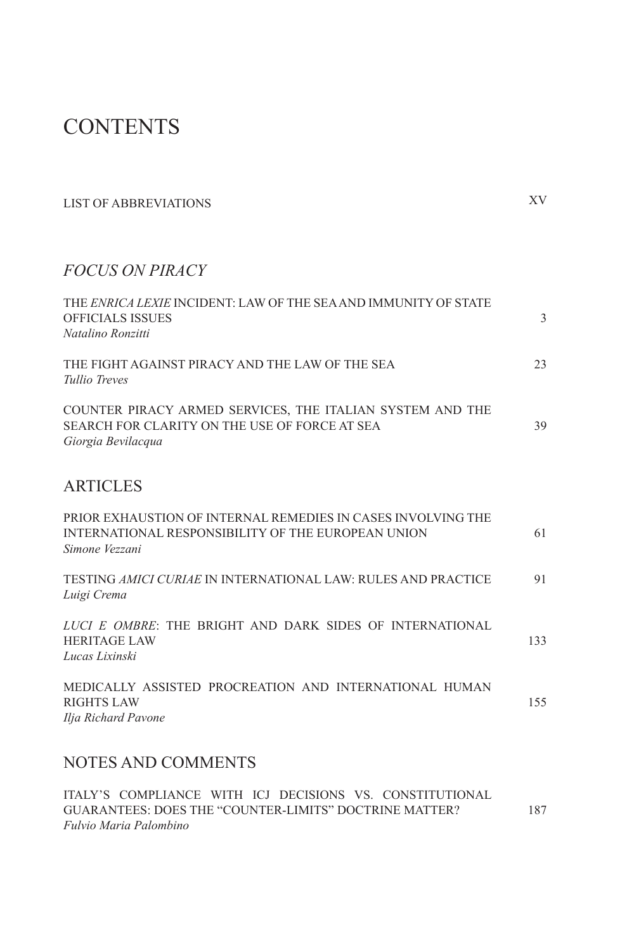# **CONTENTS**

| <b>LIST OF ABBREVIATIONS</b>                                                                                                         | XV  |
|--------------------------------------------------------------------------------------------------------------------------------------|-----|
| <b>FOCUS ON PIRACY</b>                                                                                                               |     |
| THE ENRICA LEXIE INCIDENT: LAW OF THE SEA AND IMMUNITY OF STATE<br><b>OFFICIALS ISSUES</b><br>Natalino Ronzitti                      | 3   |
| THE FIGHT AGAINST PIRACY AND THE LAW OF THE SEA<br>Tullio Treves                                                                     | 23  |
| COUNTER PIRACY ARMED SERVICES, THE ITALIAN SYSTEM AND THE<br>SEARCH FOR CLARITY ON THE USE OF FORCE AT SEA<br>Giorgia Bevilacqua     | 39  |
| <b>ARTICLES</b>                                                                                                                      |     |
| PRIOR EXHAUSTION OF INTERNAL REMEDIES IN CASES INVOLVING THE<br>INTERNATIONAL RESPONSIBILITY OF THE EUROPEAN UNION<br>Simone Vezzani | 61  |
| TESTING <i>AMICI CURIAE</i> IN INTERNATIONAL LAW: RULES AND PRACTICE<br>Luigi Crema                                                  | 91  |
| LUCI E OMBRE: THE BRIGHT AND DARK SIDES OF INTERNATIONAL<br><b>HERITAGE LAW</b><br>Lucas Lixinski                                    | 133 |
| MEDICALLY ASSISTED PROCREATION AND INTERNATIONAL HUMAN<br><b>RIGHTS LAW</b><br>Ilja Richard Pavone                                   | 155 |

# NOTES AND COMMENTS

ITALY'S COMPLIANCE WITH ICJ DECISIONS VS. CONSTITUTIONAL GUARANTEES: DOES THE "COUNTER-LIMITS" DOCTRINE MATTER? *Fulvio Maria Palombino* 187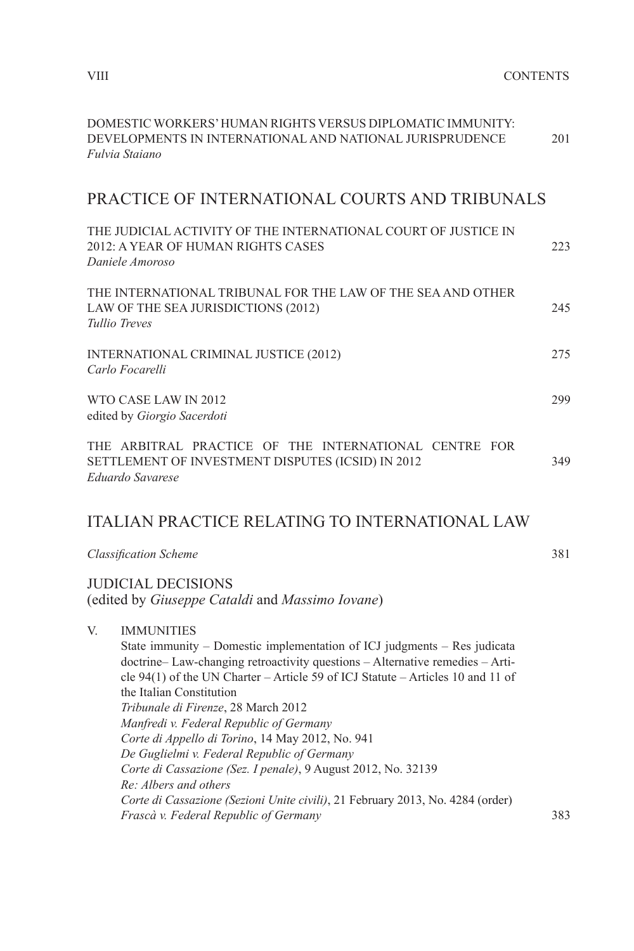| Fulvia Staiano  | DOMESTIC WORKERS' HUMAN RIGHTS VERSUS DIPLOMATIC IMMUNITY:<br>DEVELOPMENTS IN INTERNATIONAL AND NATIONAL JURISPRUDENCE                                                                                                                                                                                                                                                                                                                                                                                                                                                                                                                                                                                 | 201 |
|-----------------|--------------------------------------------------------------------------------------------------------------------------------------------------------------------------------------------------------------------------------------------------------------------------------------------------------------------------------------------------------------------------------------------------------------------------------------------------------------------------------------------------------------------------------------------------------------------------------------------------------------------------------------------------------------------------------------------------------|-----|
|                 | PRACTICE OF INTERNATIONAL COURTS AND TRIBUNALS                                                                                                                                                                                                                                                                                                                                                                                                                                                                                                                                                                                                                                                         |     |
|                 | THE JUDICIAL ACTIVITY OF THE INTERNATIONAL COURT OF JUSTICE IN<br>2012: A YEAR OF HUMAN RIGHTS CASES<br>Daniele Amoroso                                                                                                                                                                                                                                                                                                                                                                                                                                                                                                                                                                                | 223 |
| Tullio Treves   | THE INTERNATIONAL TRIBUNAL FOR THE LAW OF THE SEA AND OTHER<br>LAW OF THE SEA JURISDICTIONS (2012)                                                                                                                                                                                                                                                                                                                                                                                                                                                                                                                                                                                                     | 245 |
| Carlo Focarelli | INTERNATIONAL CRIMINAL JUSTICE (2012)                                                                                                                                                                                                                                                                                                                                                                                                                                                                                                                                                                                                                                                                  | 275 |
|                 | WTO CASE LAW IN 2012<br>edited by Giorgio Sacerdoti                                                                                                                                                                                                                                                                                                                                                                                                                                                                                                                                                                                                                                                    | 299 |
|                 | THE ARBITRAL PRACTICE OF THE INTERNATIONAL CENTRE FOR<br>SETTLEMENT OF INVESTMENT DISPUTES (ICSID) IN 2012<br>Eduardo Savarese                                                                                                                                                                                                                                                                                                                                                                                                                                                                                                                                                                         | 349 |
|                 | <b>ITALIAN PRACTICE RELATING TO INTERNATIONAL LAW</b>                                                                                                                                                                                                                                                                                                                                                                                                                                                                                                                                                                                                                                                  |     |
|                 | <b>Classification Scheme</b>                                                                                                                                                                                                                                                                                                                                                                                                                                                                                                                                                                                                                                                                           | 381 |
|                 | <b>JUDICIAL DECISIONS</b><br>(edited by Giuseppe Cataldi and Massimo Iovane)                                                                                                                                                                                                                                                                                                                                                                                                                                                                                                                                                                                                                           |     |
| V.              | <b>IMMUNITIES</b><br>State immunity – Domestic implementation of ICJ judgments – Res judicata<br>doctrine-Law-changing retroactivity questions - Alternative remedies - Arti-<br>cle 94(1) of the UN Charter - Article 59 of ICJ Statute - Articles 10 and 11 of<br>the Italian Constitution<br>Tribunale di Firenze, 28 March 2012<br>Manfredi v. Federal Republic of Germany<br>Corte di Appello di Torino, 14 May 2012, No. 941<br>De Guglielmi v. Federal Republic of Germany<br>Corte di Cassazione (Sez. I penale), 9 August 2012, No. 32139<br>Re: Albers and others<br>Corte di Cassazione (Sezioni Unite civili), 21 February 2013, No. 4284 (order)<br>Frascà v. Federal Republic of Germany | 383 |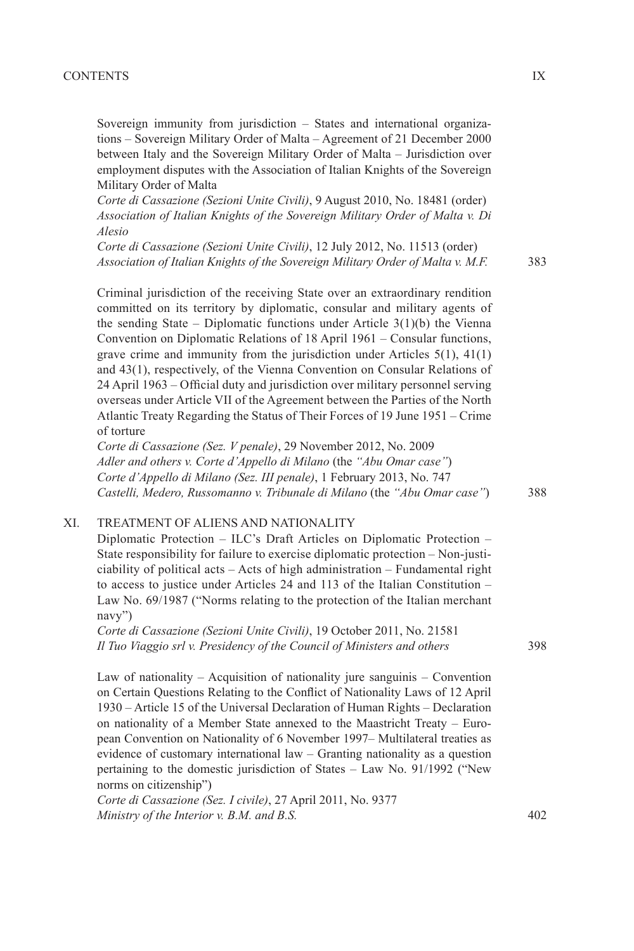Sovereign immunity from jurisdiction – States and international organizations – Sovereign Military Order of Malta – Agreement of 21 December 2000 between Italy and the Sovereign Military Order of Malta – Jurisdiction over employment disputes with the Association of Italian Knights of the Sovereign Military Order of Malta

*Corte di Cassazione (Sezioni Unite Civili)*, 9 August 2010, No. 18481 (order) *Association of Italian Knights of the Sovereign Military Order of Malta v. Di Alesio*

*Corte di Cassazione (Sezioni Unite Civili)*, 12 July 2012, No. 11513 (order) *Association of Italian Knights of the Sovereign Military Order of Malta v. M.F.*

Criminal jurisdiction of the receiving State over an extraordinary rendition committed on its territory by diplomatic, consular and military agents of the sending State – Diplomatic functions under Article  $3(1)(b)$  the Vienna Convention on Diplomatic Relations of 18 April 1961 – Consular functions, grave crime and immunity from the jurisdiction under Articles 5(1), 41(1) and 43(1), respectively, of the Vienna Convention on Consular Relations of 24 April 1963 – Official duty and jurisdiction over military personnel serving overseas under Article VII of the Agreement between the Parties of the North Atlantic Treaty Regarding the Status of Their Forces of 19 June 1951 – Crime of torture

*Corte di Cassazione (Sez. V penale)*, 29 November 2012, No. 2009 *Adler and others v. Corte d'Appello di Milano* (the *"Abu Omar case"*) *Corte d'Appello di Milano (Sez. III penale)*, 1 February 2013, No. 747 *Castelli, Medero, Russomanno v. Tribunale di Milano* (the *"Abu Omar case"*)

#### XI. TREATMENT OF ALIENS AND NATIONALITY

Diplomatic Protection – ILC's Draft Articles on Diplomatic Protection – State responsibility for failure to exercise diplomatic protection – Non-justiciability of political acts – Acts of high administration – Fundamental right to access to justice under Articles 24 and 113 of the Italian Constitution – Law No. 69/1987 ("Norms relating to the protection of the Italian merchant navy")

*Corte di Cassazione (Sezioni Unite Civili)*, 19 October 2011, No. 21581 *Il Tuo Viaggio srl v. Presidency of the Council of Ministers and others*

Law of nationality – Acquisition of nationality jure sanguinis – Convention on Certain Questions Relating to the Conflict of Nationality Laws of 12 April 1930 – Article 15 of the Universal Declaration of Human Rights – Declaration on nationality of a Member State annexed to the Maastricht Treaty – European Convention on Nationality of 6 November 1997– Multilateral treaties as evidence of customary international law – Granting nationality as a question pertaining to the domestic jurisdiction of States – Law No. 91/1992 ("New norms on citizenship")

*Corte di Cassazione (Sez. I civile)*, 27 April 2011, No. 9377 *Ministry of the Interior v. B.M. and B.S.*

388

383

402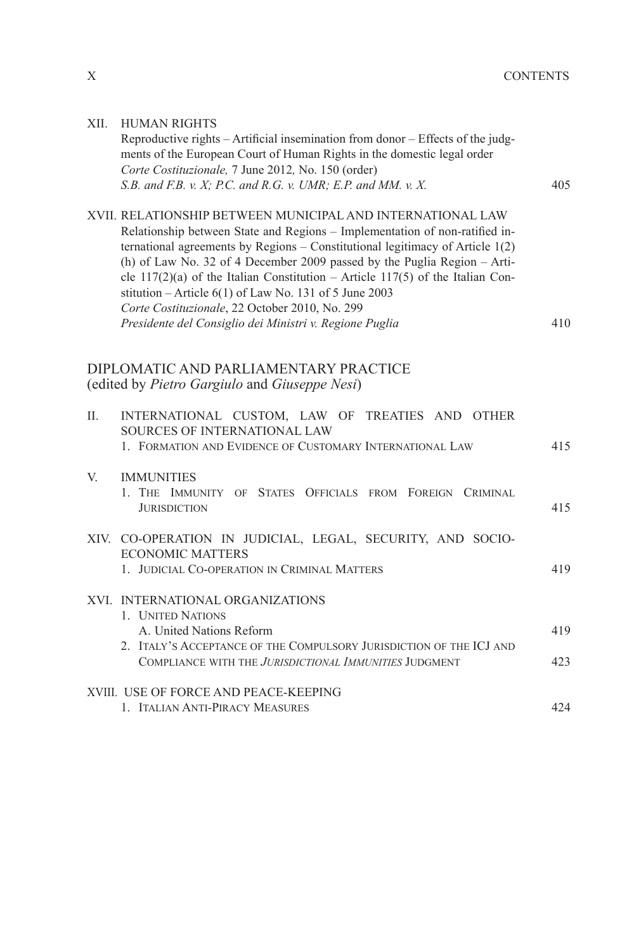| XII. | <b>HUMAN RIGHTS</b><br>Reproductive rights - Artificial insemination from donor - Effects of the judg-<br>ments of the European Court of Human Rights in the domestic legal order<br>Corte Costituzionale, 7 June 2012, No. 150 (order)<br>S.B. and F.B. v. X; P.C. and R.G. v. UMR; E.P. and MM. v. X.                                                                                                                                                                                                                                                               | 405 |
|------|-----------------------------------------------------------------------------------------------------------------------------------------------------------------------------------------------------------------------------------------------------------------------------------------------------------------------------------------------------------------------------------------------------------------------------------------------------------------------------------------------------------------------------------------------------------------------|-----|
|      | XVII. RELATIONSHIP BETWEEN MUNICIPAL AND INTERNATIONAL LAW<br>Relationship between State and Regions - Implementation of non-ratified in-<br>ternational agreements by Regions - Constitutional legitimacy of Article 1(2)<br>(h) of Law No. 32 of 4 December 2009 passed by the Puglia Region $-$ Arti-<br>cle $117(2)(a)$ of the Italian Constitution – Article 117(5) of the Italian Con-<br>stitution – Article $6(1)$ of Law No. 131 of 5 June 2003<br>Corte Costituzionale, 22 October 2010, No. 299<br>Presidente del Consiglio dei Ministri v. Regione Puglia | 410 |
|      | DIPLOMATIC AND PARLIAMENTARY PRACTICE<br>(edited by Pietro Gargiulo and Giuseppe Nesi)                                                                                                                                                                                                                                                                                                                                                                                                                                                                                |     |
| П.   | INTERNATIONAL CUSTOM, LAW OF TREATIES AND OTHER<br>SOURCES OF INTERNATIONAL LAW<br>1. FORMATION AND EVIDENCE OF CUSTOMARY INTERNATIONAL LAW                                                                                                                                                                                                                                                                                                                                                                                                                           | 415 |
| V.   | <b>IMMUNITIES</b><br>1. THE IMMUNITY<br>OF STATES OFFICIALS FROM FOREIGN CRIMINAL<br><b>JURISDICTION</b>                                                                                                                                                                                                                                                                                                                                                                                                                                                              | 415 |
|      | XIV. CO-OPERATION IN JUDICIAL, LEGAL, SECURITY, AND SOCIO-<br><b>ECONOMIC MATTERS</b><br>1. JUDICIAL CO-OPERATION IN CRIMINAL MATTERS                                                                                                                                                                                                                                                                                                                                                                                                                                 | 419 |
|      | XVI. INTERNATIONAL ORGANIZATIONS<br>1. <b>UNITED NATIONS</b><br>A. United Nations Reform                                                                                                                                                                                                                                                                                                                                                                                                                                                                              | 419 |
|      | 2. ITALY'S ACCEPTANCE OF THE COMPULSORY JURISDICTION OF THE ICJ AND<br>COMPLIANCE WITH THE JURISDICTIONAL IMMUNITIES JUDGMENT                                                                                                                                                                                                                                                                                                                                                                                                                                         | 423 |
|      | XVIII. USE OF FORCE AND PEACE-KEEPING<br>1. ITALIAN ANTI-PIRACY MEASURES                                                                                                                                                                                                                                                                                                                                                                                                                                                                                              | 424 |

 $\mathbf X$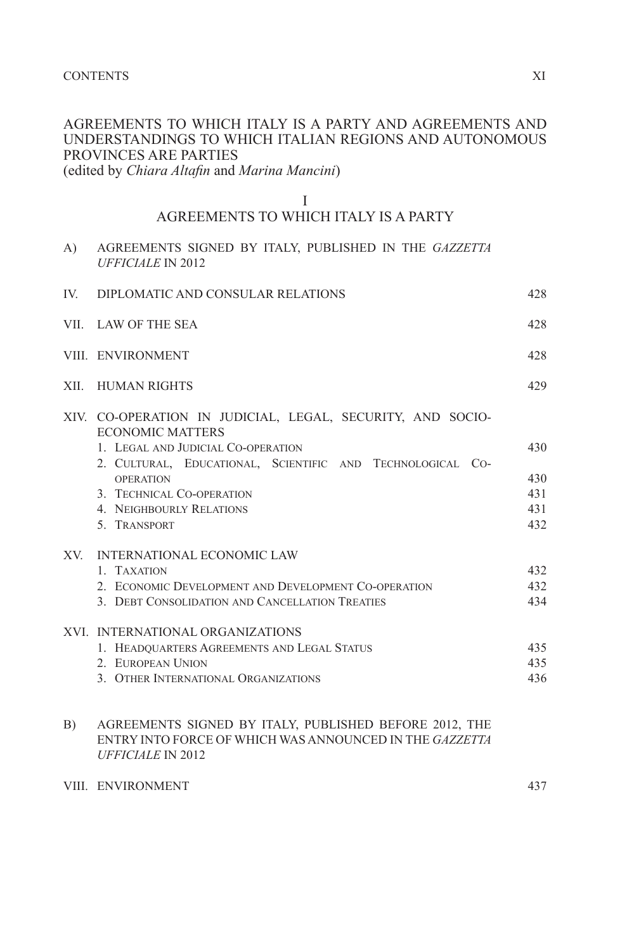### AGREEMENTS TO WHICH ITALY IS A PARTY AND AGREEMENTS AND UNDERSTANDINGS TO WHICH ITALIAN REGIONS AND AUTONOMOUS PROVINCES ARE PARTIES

(edited by *Chiara Altafin* and *Marina Mancini*)

#### I

# AGREEMENTS TO WHICH ITALY IS A PARTY

| A)  | AGREEMENTS SIGNED BY ITALY, PUBLISHED IN THE GAZZETTA<br><b>UFFICIALE IN 2012</b>                |      |
|-----|--------------------------------------------------------------------------------------------------|------|
| IV. | DIPLOMATIC AND CONSULAR RELATIONS                                                                | 428  |
|     | VII. LAW OF THE SEA                                                                              | 428  |
|     | VIII. ENVIRONMENT                                                                                | 42.8 |
|     | XII. HUMAN RIGHTS                                                                                | 429  |
|     | XIV. CO-OPERATION IN JUDICIAL, LEGAL, SECURITY, AND SOCIO-<br><b>ECONOMIC MATTERS</b>            |      |
|     | 1. LEGAL AND JUDICIAL CO-OPERATION<br>2. CULTURAL, EDUCATIONAL, SCIENTIFIC AND TECHNOLOGICAL CO- | 430  |
|     | <b>OPERATION</b>                                                                                 | 430  |
|     | 3. TECHNICAL CO-OPERATION                                                                        | 431  |
|     | <b>4. NEIGHBOURLY RELATIONS</b>                                                                  | 431  |
|     | 5. TRANSPORT                                                                                     | 432  |
|     | XV. INTERNATIONAL ECONOMIC LAW                                                                   |      |
|     | 1. TAXATION                                                                                      | 432  |
|     | 2. ECONOMIC DEVELOPMENT AND DEVELOPMENT CO-OPERATION                                             | 432  |
|     | 3. DEBT CONSOLIDATION AND CANCELLATION TREATIES                                                  | 434  |
|     | XVI. INTERNATIONAL ORGANIZATIONS                                                                 |      |
|     | 1. HEADQUARTERS AGREEMENTS AND LEGAL STATUS                                                      | 435  |
|     | 2. EUROPEAN UNION                                                                                | 435  |
|     | 3. OTHER INTERNATIONAL ORGANIZATIONS                                                             | 436  |
|     |                                                                                                  |      |

#### B) AGREEMENTS SIGNED BY ITALY, PUBLISHED BEFORE 2012, THE ENTRY INTO FORCE OF WHICH WAS ANNOUNCED IN THE *GAZZETTA UFFICIALE* IN 2012

#### VIII. ENVIRONMENT

437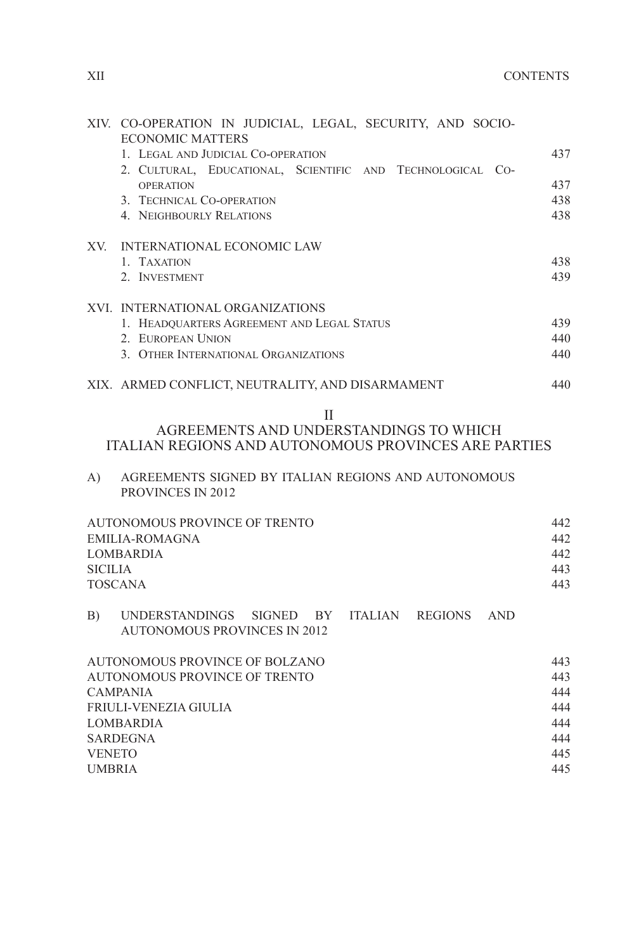445 445

|                | XIV. CO-OPERATION IN JUDICIAL, LEGAL, SECURITY, AND SOCIO-<br><b>ECONOMIC MATTERS</b>               |     |
|----------------|-----------------------------------------------------------------------------------------------------|-----|
|                | 1. LEGAL AND JUDICIAL CO-OPERATION                                                                  | 437 |
|                | 2. CULTURAL, EDUCATIONAL, SCIENTIFIC AND TECHNOLOGICAL CO-                                          |     |
|                | <b>OPERATION</b>                                                                                    | 437 |
|                | 3. TECHNICAL CO-OPERATION                                                                           | 438 |
|                | <b>4. NEIGHBOURLY RELATIONS</b>                                                                     | 438 |
| XV.            | INTERNATIONAL ECONOMIC LAW                                                                          |     |
|                | 1. TAXATION                                                                                         | 438 |
|                | 2. INVESTMENT                                                                                       | 439 |
|                | XVI. INTERNATIONAL ORGANIZATIONS                                                                    |     |
|                | 1. HEADQUARTERS AGREEMENT AND LEGAL STATUS                                                          | 439 |
|                | 2. EUROPEAN UNION                                                                                   | 440 |
|                | 3. OTHER INTERNATIONAL ORGANIZATIONS                                                                | 440 |
|                | XIX. ARMED CONFLICT, NEUTRALITY, AND DISARMAMENT                                                    | 440 |
|                | Н<br>AGREEMENTS AND UNDERSTANDINGS TO WHICH                                                         |     |
|                | ITALIAN REGIONS AND AUTONOMOUS PROVINCES ARE PARTIES                                                |     |
| A)             | AGREEMENTS SIGNED BY ITALIAN REGIONS AND AUTONOMOUS<br>PROVINCES IN 2012                            |     |
|                |                                                                                                     |     |
|                | AUTONOMOUS PROVINCE OF TRENTO                                                                       | 442 |
|                | <b>EMILIA-ROMAGNA</b>                                                                               | 442 |
|                | <b>LOMBARDIA</b>                                                                                    | 442 |
| <b>SICILIA</b> |                                                                                                     | 443 |
|                | <b>TOSCANA</b>                                                                                      | 443 |
| B)             | UNDERSTANDINGS<br>SIGNED BY<br>ITALIAN REGIONS<br><b>AND</b><br><b>AUTONOMOUS PROVINCES IN 2012</b> |     |
|                | AUTONOMOUS PROVINCE OF BOLZANO                                                                      | 443 |
|                | <b>AUTONOMOUS PROVINCE OF TRENTO</b>                                                                | 443 |
|                | <b>CAMPANIA</b>                                                                                     | 444 |
|                | FRIULI-VENEZIA GIULIA                                                                               | 444 |
|                | <b>LOMBARDIA</b>                                                                                    | 444 |
|                | <b>SARDEGNA</b>                                                                                     | 444 |

VENETO UMBRIA